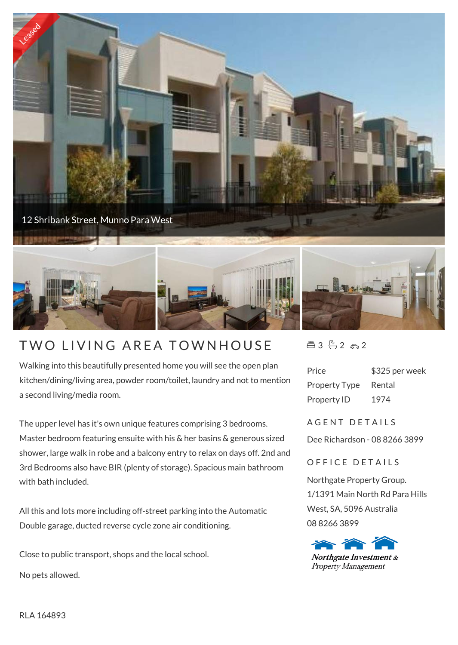

## TWO LIVING ARFA TOWNHOUSE

Walking into this beautifully presented home you will see the open plan kitchen/dining/living area, powder room/toilet, laundry and not to mention a second living/media room.

The upper level has it's own unique features comprising 3 bedrooms. Master bedroom featuring ensuite with his & her basins & generous sized shower, large walk in robe and a balcony entry to relax on days off. 2nd and 3rd Bedrooms also have BIR (plenty of storage). Spacious main bathroom with bath included.

All this and lots more including off-street parking into the Automatic Double garage, ducted reverse cycle zone air conditioning.

Close to public transport, shops and the local school.

No pets allowed.

 $43 - 2 2 2$ 

| Price                | \$325 per week |
|----------------------|----------------|
| <b>Property Type</b> | Rental         |
| Property ID          | 1974           |

A G E N T D E T A I L S

Dee Richardson - 08 8266 3899

## OFFICE DETAILS

Northgate Property Group. 1/1391 Main North Rd Para Hills West, SA, 5096 Australia 08 8266 3899